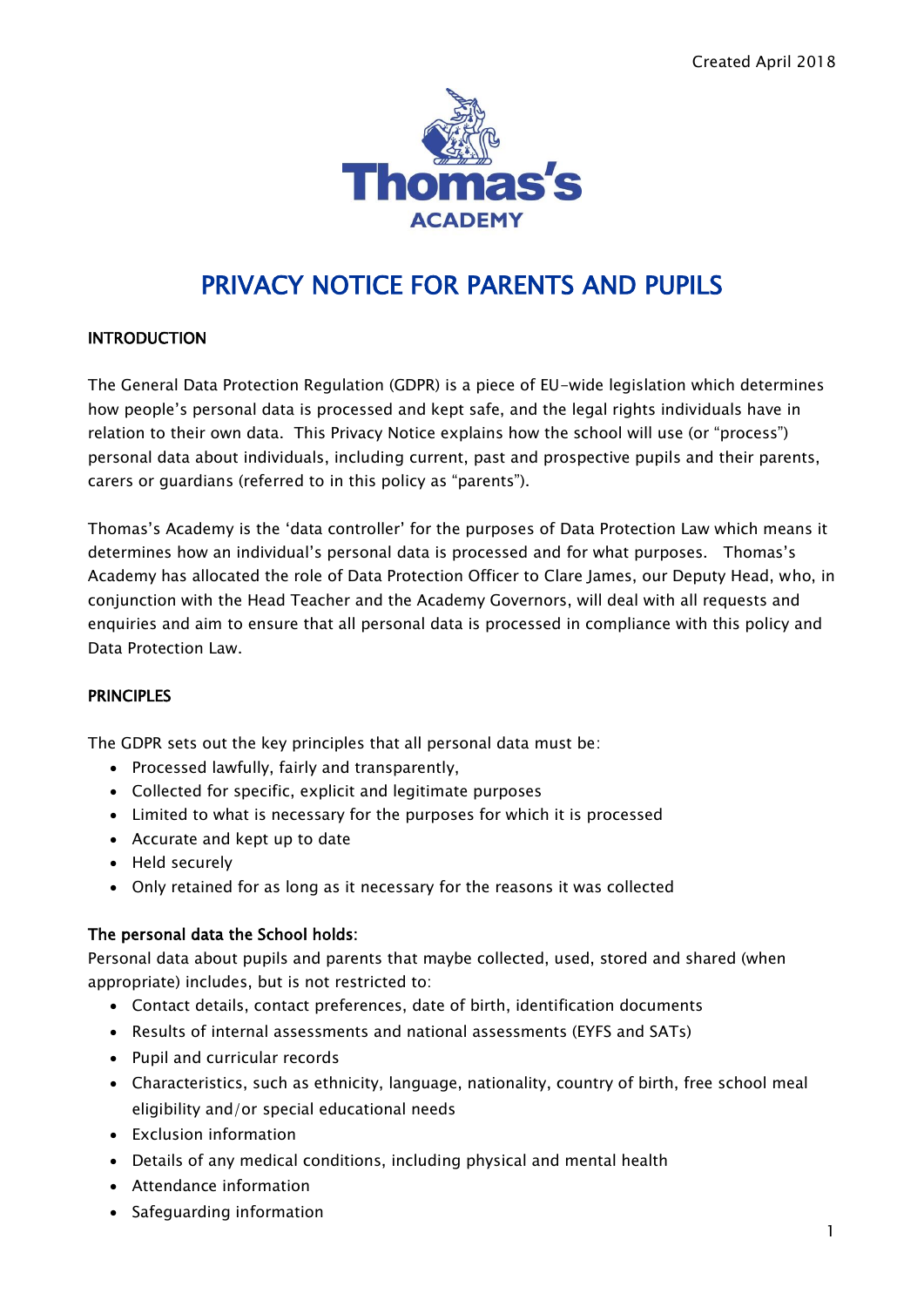

# PRIVACY NOTICE FOR PARENTS AND PUPILS

### INTRODUCTION

The General Data Protection Regulation (GDPR) is a piece of EU-wide legislation which determines how people's personal data is processed and kept safe, and the legal rights individuals have in relation to their own data. This Privacy Notice explains how the school will use (or "process") personal data about individuals, including current, past and prospective pupils and their parents, carers or guardians (referred to in this policy as "parents").

Thomas's Academy is the 'data controller' for the purposes of Data Protection Law which means it determines how an individual's personal data is processed and for what purposes. Thomas's Academy has allocated the role of Data Protection Officer to Clare James, our Deputy Head, who, in conjunction with the Head Teacher and the Academy Governors, will deal with all requests and enquiries and aim to ensure that all personal data is processed in compliance with this policy and Data Protection Law.

#### **PRINCIPLES**

The GDPR sets out the key principles that all personal data must be:

- Processed lawfully, fairly and transparently,
- Collected for specific, explicit and legitimate purposes
- Limited to what is necessary for the purposes for which it is processed
- Accurate and kept up to date
- Held securely
- Only retained for as long as it necessary for the reasons it was collected

#### The personal data the School holds:

Personal data about pupils and parents that maybe collected, used, stored and shared (when appropriate) includes, but is not restricted to:

- Contact details, contact preferences, date of birth, identification documents
- Results of internal assessments and national assessments (EYFS and SATs)
- Pupil and curricular records
- Characteristics, such as ethnicity, language, nationality, country of birth, free school meal eligibility and/or special educational needs
- Exclusion information
- Details of any medical conditions, including physical and mental health
- Attendance information
- Safeguarding information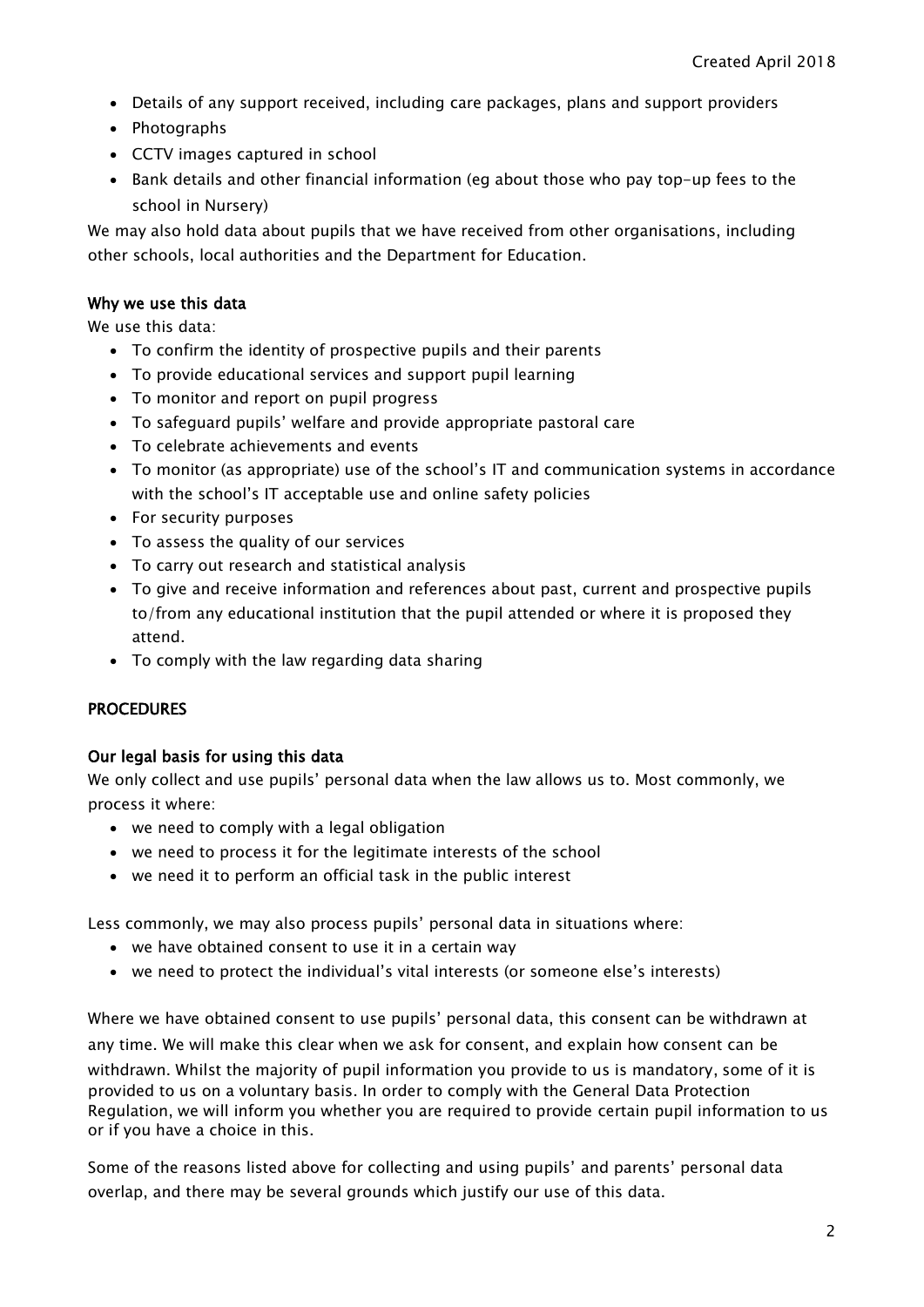- Details of any support received, including care packages, plans and support providers
- Photographs
- CCTV images captured in school
- Bank details and other financial information (eg about those who pay top-up fees to the school in Nursery)

We may also hold data about pupils that we have received from other organisations, including other schools, local authorities and the Department for Education.

#### Why we use this data

We use this data:

- To confirm the identity of prospective pupils and their parents
- To provide educational services and support pupil learning
- To monitor and report on pupil progress
- To safeguard pupils' welfare and provide appropriate pastoral care
- To celebrate achievements and events
- To monitor (as appropriate) use of the school's IT and communication systems in accordance with the school's IT acceptable use and online safety policies
- For security purposes
- To assess the quality of our services
- To carry out research and statistical analysis
- To give and receive information and references about past, current and prospective pupils to/from any educational institution that the pupil attended or where it is proposed they attend.
- To comply with the law regarding data sharing

#### PROCEDURES

#### Our legal basis for using this data

We only collect and use pupils' personal data when the law allows us to. Most commonly, we process it where:

- we need to comply with a legal obligation
- we need to process it for the legitimate interests of the school
- we need it to perform an official task in the public interest

Less commonly, we may also process pupils' personal data in situations where:

- we have obtained consent to use it in a certain way
- we need to protect the individual's vital interests (or someone else's interests)

Where we have obtained consent to use pupils' personal data, this consent can be withdrawn at any time. We will make this clear when we ask for consent, and explain how consent can be withdrawn. Whilst the majority of pupil information you provide to us is mandatory, some of it is provided to us on a voluntary basis. In order to comply with the General Data Protection Regulation, we will inform you whether you are required to provide certain pupil information to us or if you have a choice in this.

Some of the reasons listed above for collecting and using pupils' and parents' personal data overlap, and there may be several grounds which justify our use of this data.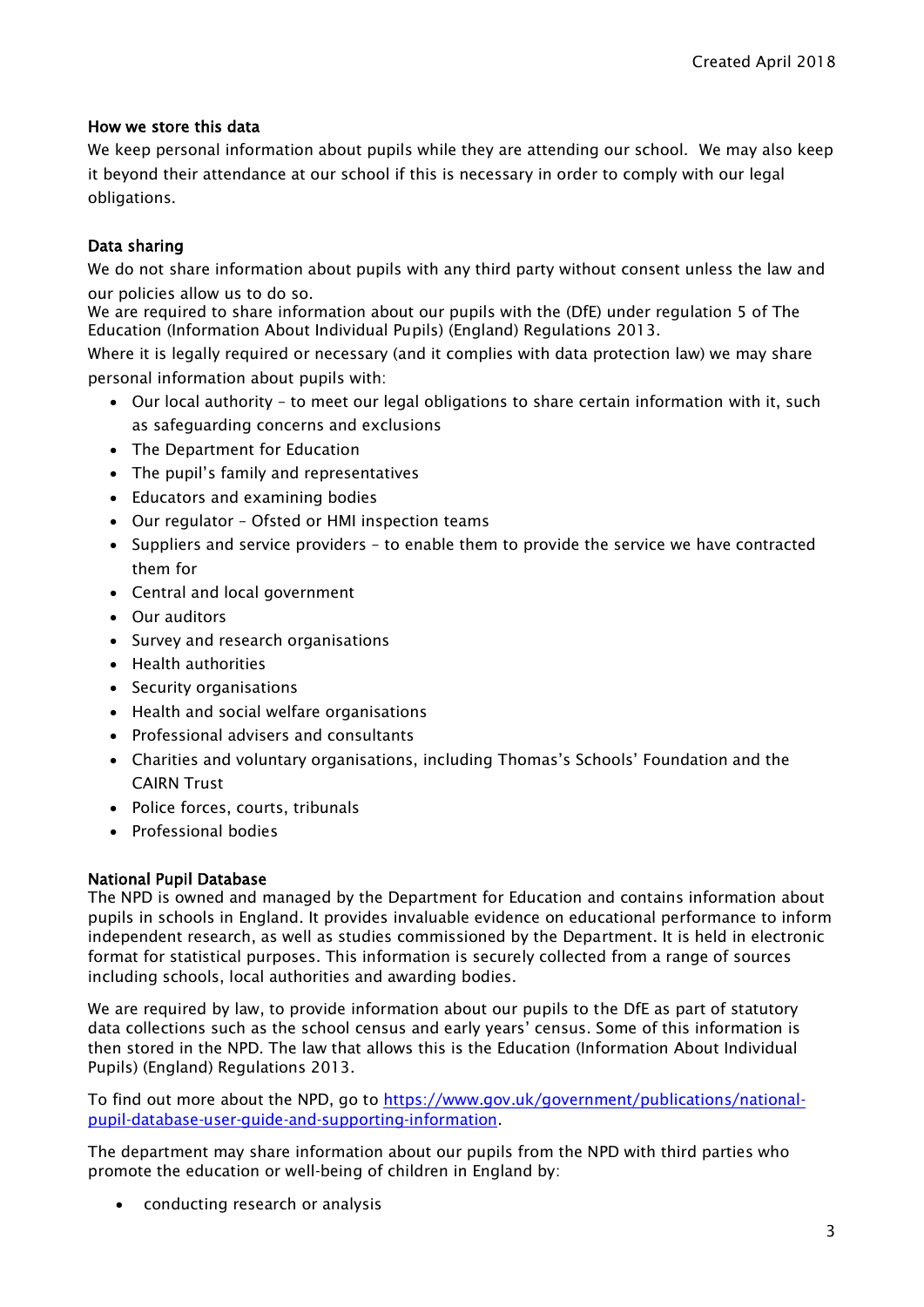### How we store this data

We keep personal information about pupils while they are attending our school. We may also keep it beyond their attendance at our school if this is necessary in order to comply with our legal obligations.

### Data sharing

We do not share information about pupils with any third party without consent unless the law and our policies allow us to do so.

We are required to share information about our pupils with the (DfE) under regulation 5 of The Education (Information About Individual Pupils) (England) Regulations 2013.

Where it is legally required or necessary (and it complies with data protection law) we may share personal information about pupils with:

- Our local authority to meet our legal obligations to share certain information with it, such as safeguarding concerns and exclusions
- The Department for Education
- The pupil's family and representatives
- Educators and examining bodies
- Our regulator Ofsted or HMI inspection teams
- Suppliers and service providers to enable them to provide the service we have contracted them for
- Central and local government
- Our auditors
- Survey and research organisations
- Health authorities
- Security organisations
- Health and social welfare organisations
- Professional advisers and consultants
- Charities and voluntary organisations, including Thomas's Schools' Foundation and the CAIRN Trust
- Police forces, courts, tribunals
- Professional bodies

#### National Pupil Database

The NPD is owned and managed by the Department for Education and contains information about pupils in schools in England. It provides invaluable evidence on educational performance to inform independent research, as well as studies commissioned by the Department. It is held in electronic format for statistical purposes. This information is securely collected from a range of sources including schools, local authorities and awarding bodies.

We are required by law, to provide information about our pupils to the DfE as part of statutory data collections such as the school census and early years' census. Some of this information is then stored in the NPD. The law that allows this is the Education (Information About Individual Pupils) (England) Regulations 2013.

To find out more about the NPD, go to [https://www.gov.uk/government/publications/national](https://www.gov.uk/government/publications/national-pupil-database-user-guide-and-supporting-information)[pupil-database-user-guide-and-supporting-information.](https://www.gov.uk/government/publications/national-pupil-database-user-guide-and-supporting-information)

The department may share information about our pupils from the NPD with third parties who promote the education or well-being of children in England by:

• conducting research or analysis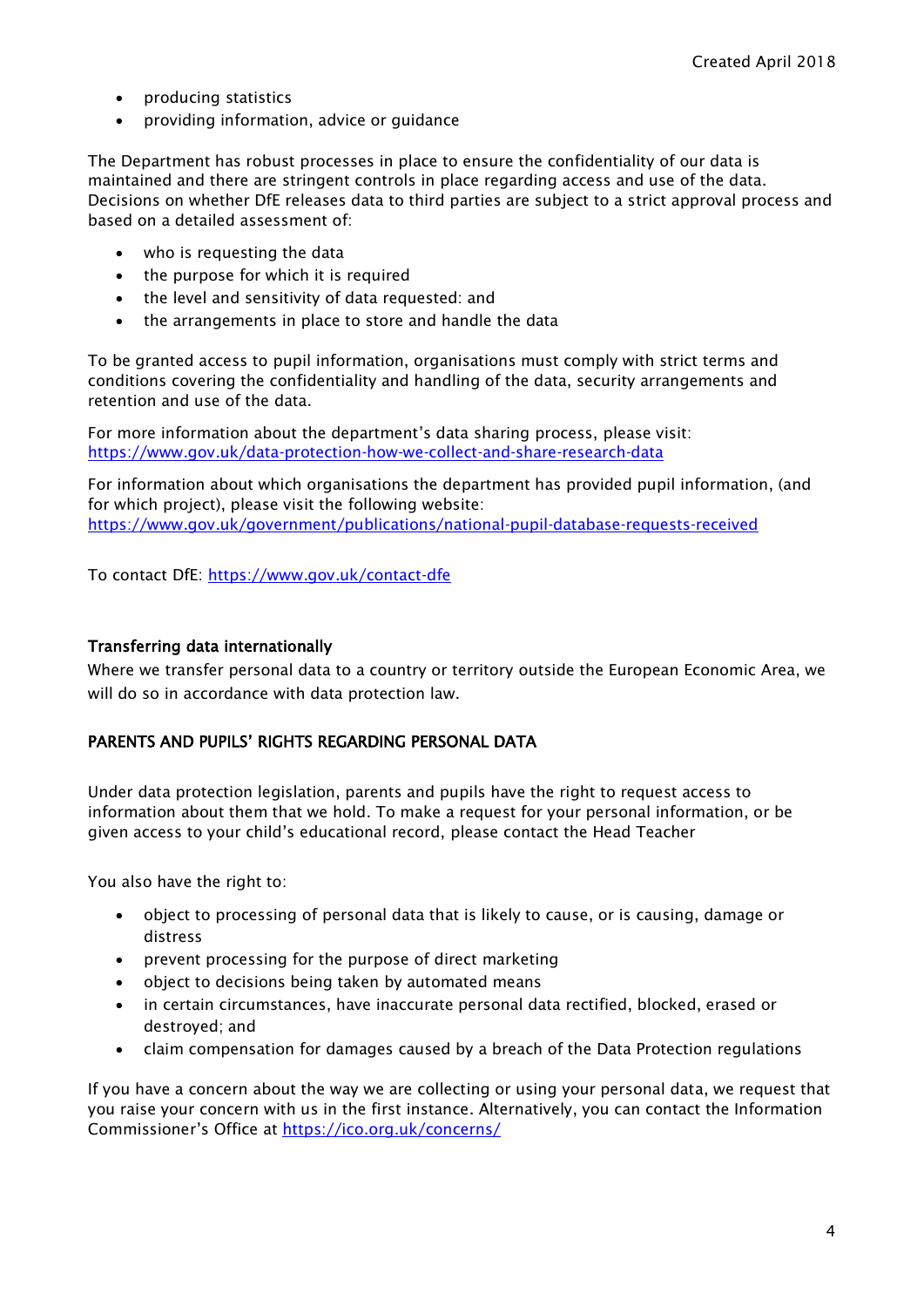- producing statistics
- providing information, advice or guidance

The Department has robust processes in place to ensure the confidentiality of our data is maintained and there are stringent controls in place regarding access and use of the data. Decisions on whether DfE releases data to third parties are subject to a strict approval process and based on a detailed assessment of:

- who is requesting the data
- the purpose for which it is required
- the level and sensitivity of data requested: and
- the arrangements in place to store and handle the data

To be granted access to pupil information, organisations must comply with strict terms and conditions covering the confidentiality and handling of the data, security arrangements and retention and use of the data.

For more information about the department's data sharing process, please visit: <https://www.gov.uk/data-protection-how-we-collect-and-share-research-data>

For information about which organisations the department has provided pupil information, (and for which project), please visit the following website: <https://www.gov.uk/government/publications/national-pupil-database-requests-received>

To contact DfE:<https://www.gov.uk/contact-dfe>

#### Transferring data internationally

Where we transfer personal data to a country or territory outside the European Economic Area, we will do so in accordance with data protection law.

#### PARENTS AND PUPILS' RIGHTS REGARDING PERSONAL DATA

Under data protection legislation, parents and pupils have the right to request access to information about them that we hold. To make a request for your personal information, or be given access to your child's educational record, please contact the Head Teacher

You also have the right to:

- object to processing of personal data that is likely to cause, or is causing, damage or distress
- prevent processing for the purpose of direct marketing
- object to decisions being taken by automated means
- in certain circumstances, have inaccurate personal data rectified, blocked, erased or destroyed; and
- claim compensation for damages caused by a breach of the Data Protection regulations

If you have a concern about the way we are collecting or using your personal data, we request that you raise your concern with us in the first instance. Alternatively, you can contact the Information Commissioner's Office at <https://ico.org.uk/concerns/>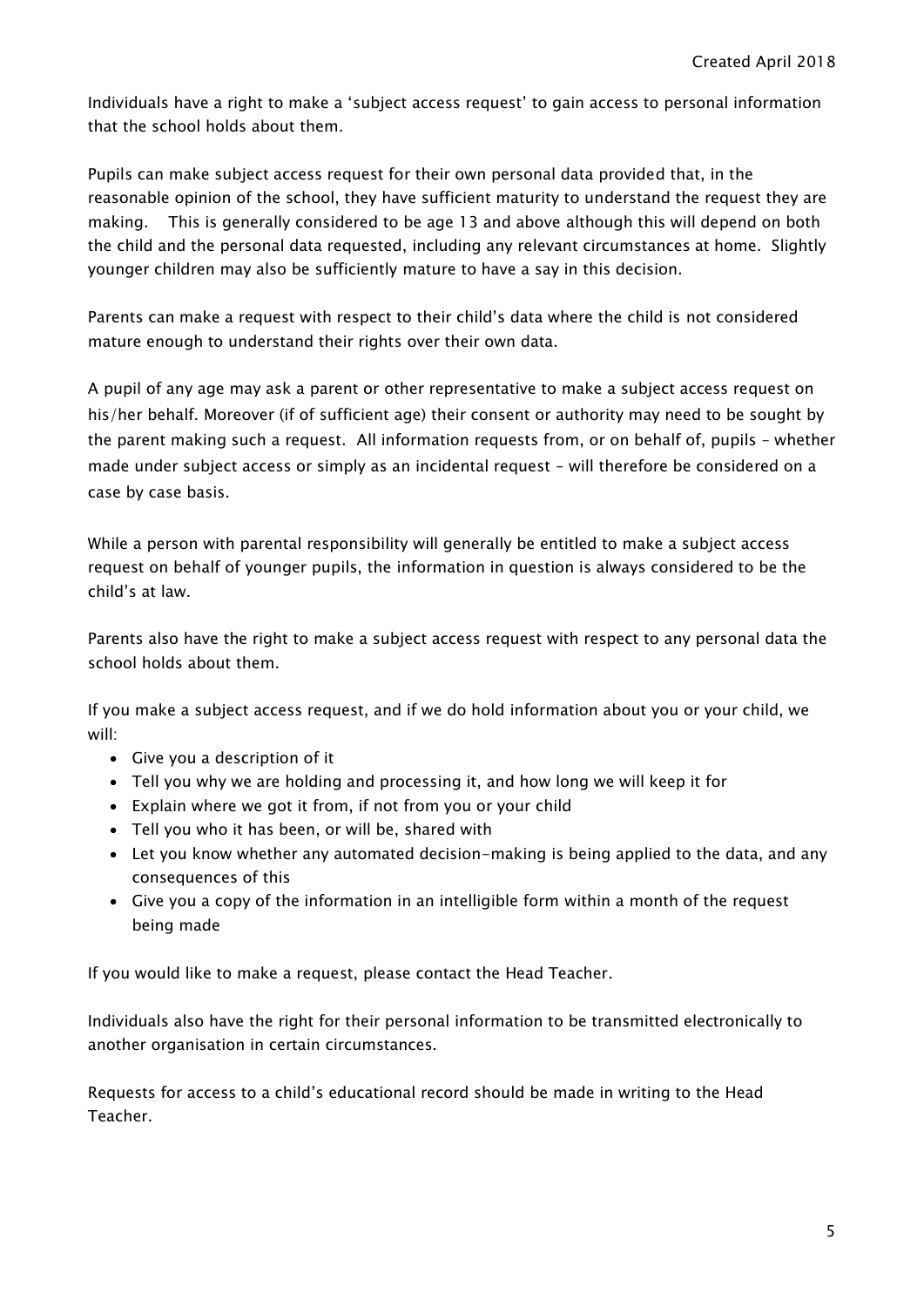Individuals have a right to make a 'subject access request' to gain access to personal information that the school holds about them.

Pupils can make subject access request for their own personal data provided that, in the reasonable opinion of the school, they have sufficient maturity to understand the request they are making. This is generally considered to be age 13 and above although this will depend on both the child and the personal data requested, including any relevant circumstances at home. Slightly younger children may also be sufficiently mature to have a say in this decision.

Parents can make a request with respect to their child's data where the child is not considered mature enough to understand their rights over their own data.

A pupil of any age may ask a parent or other representative to make a subject access request on his/her behalf. Moreover (if of sufficient age) their consent or authority may need to be sought by the parent making such a request. All information requests from, or on behalf of, pupils – whether made under subject access or simply as an incidental request – will therefore be considered on a case by case basis.

While a person with parental responsibility will generally be entitled to make a subject access request on behalf of younger pupils, the information in question is always considered to be the child's at law.

Parents also have the right to make a subject access request with respect to any personal data the school holds about them.

If you make a subject access request, and if we do hold information about you or your child, we will:

- Give you a description of it
- Tell you why we are holding and processing it, and how long we will keep it for
- Explain where we got it from, if not from you or your child
- Tell you who it has been, or will be, shared with
- Let you know whether any automated decision-making is being applied to the data, and any consequences of this
- Give you a copy of the information in an intelligible form within a month of the request being made

If you would like to make a request, please contact the Head Teacher.

Individuals also have the right for their personal information to be transmitted electronically to another organisation in certain circumstances.

Requests for access to a child's educational record should be made in writing to the Head Teacher.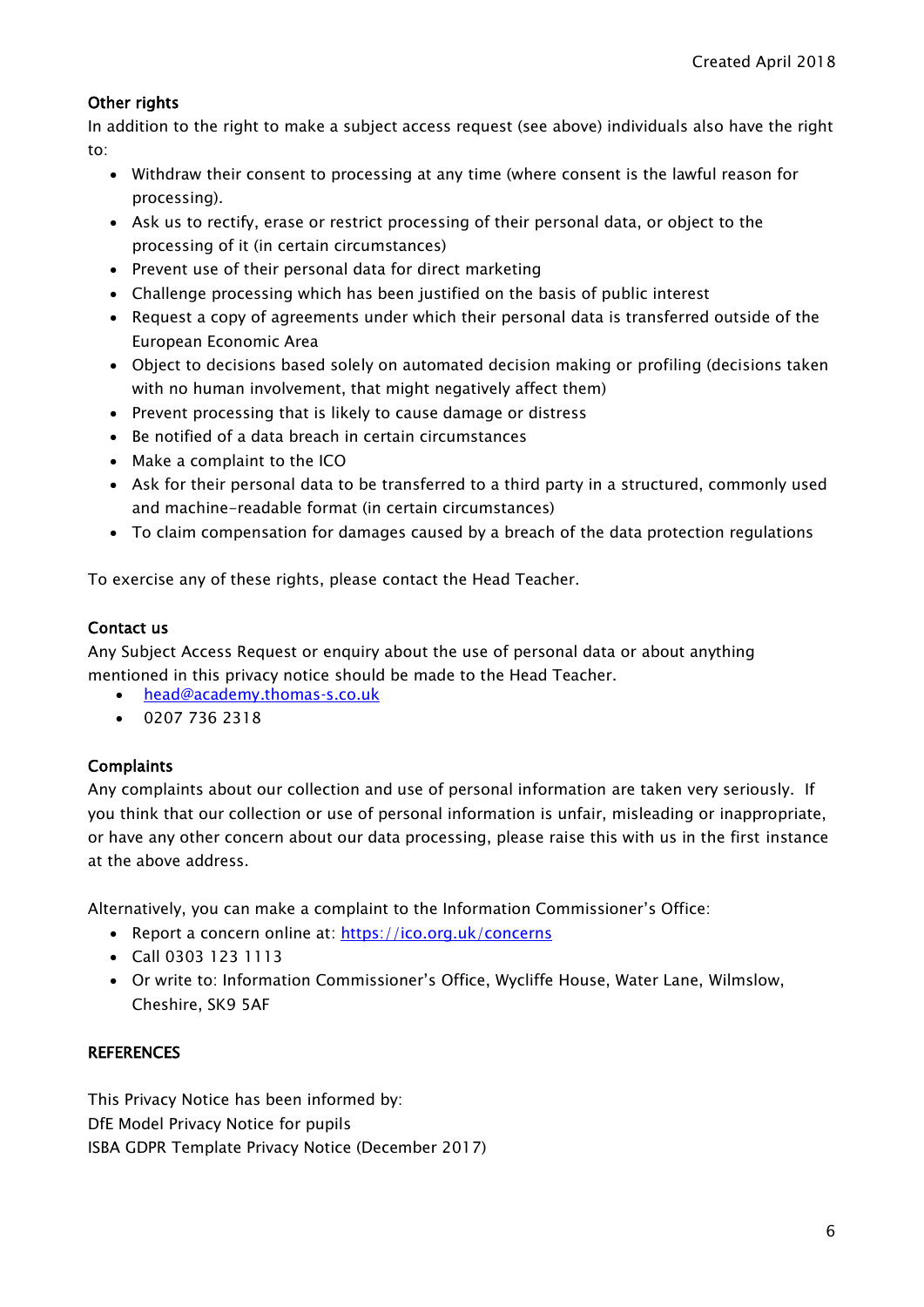## Other rights

In addition to the right to make a subject access request (see above) individuals also have the right to:

- Withdraw their consent to processing at any time (where consent is the lawful reason for processing).
- Ask us to rectify, erase or restrict processing of their personal data, or object to the processing of it (in certain circumstances)
- Prevent use of their personal data for direct marketing
- Challenge processing which has been justified on the basis of public interest
- Request a copy of agreements under which their personal data is transferred outside of the European Economic Area
- Object to decisions based solely on automated decision making or profiling (decisions taken with no human involvement, that might negatively affect them)
- Prevent processing that is likely to cause damage or distress
- Be notified of a data breach in certain circumstances
- Make a complaint to the ICO
- Ask for their personal data to be transferred to a third party in a structured, commonly used and machine-readable format (in certain circumstances)
- To claim compensation for damages caused by a breach of the data protection regulations

To exercise any of these rights, please contact the Head Teacher.

#### Contact us

Any Subject Access Request or enquiry about the use of personal data or about anything mentioned in this privacy notice should be made to the Head Teacher.

- [head@academy.thomas-s.co.uk](mailto:head@academy.thomas-s.co.uk)
- $-02077362318$

#### **Complaints**

Any complaints about our collection and use of personal information are taken very seriously. If you think that our collection or use of personal information is unfair, misleading or inappropriate, or have any other concern about our data processing, please raise this with us in the first instance at the above address.

Alternatively, you can make a complaint to the Information Commissioner's Office:

- Report a concern online at: <https://ico.org.uk/concerns>
- Call 0303 123 1113
- Or write to: Information Commissioner's Office, Wycliffe House, Water Lane, Wilmslow, Cheshire, SK9 5AF

#### **REFERENCES**

This Privacy Notice has been informed by: DfE Model Privacy Notice for pupils ISBA GDPR Template Privacy Notice (December 2017)